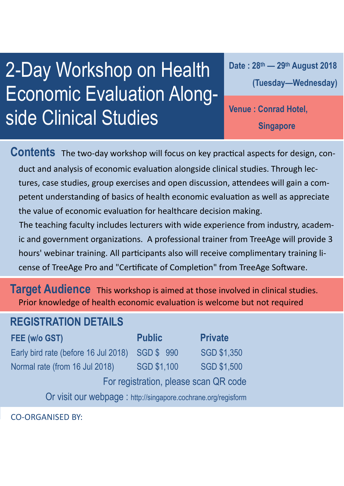## 2-Day Workshop on Health Economic Evaluation Alongside Clinical Studies **Venue : Conrad Hotel,**

**Date : 28th — 29th August 2018 (Tuesday—Wednesday)**

**Singapore** 

**Contents** The two-day workshop will focus on key practical aspects for design, conduct and analysis of economic evaluation alongside clinical studies. Through lectures, case studies, group exercises and open discussion, attendees will gain a competent understanding of basics of health economic evaluation as well as appreciate the value of economic evaluation for healthcare decision making.

The teaching faculty includes lecturers with wide experience from industry, academic and government organizations. A professional trainer from TreeAge will provide 3 hours' webinar training. All participants also will receive complimentary training license of TreeAge Pro and "Certificate of Completion" from TreeAge Software.

**Target Audience** This workshop is aimed at those involved in clinical studies. Prior knowledge of health economic evaluation is welcome but not required

## **REGISTRATION DETAILS**

| FEE (w/o GST)                                                 | <b>Public</b>      | <b>Private</b>     |  |  |
|---------------------------------------------------------------|--------------------|--------------------|--|--|
| Early bird rate (before 16 Jul 2018)                          | <b>SGD \$990</b>   | <b>SGD \$1,350</b> |  |  |
| Normal rate (from 16 Jul 2018)                                | <b>SGD \$1,100</b> | <b>SGD \$1,500</b> |  |  |
| For registration, please scan QR code                         |                    |                    |  |  |
| Or visit our webpage: http://singapore.cochrane.org/regisform |                    |                    |  |  |

CO-ORGANISED BY: